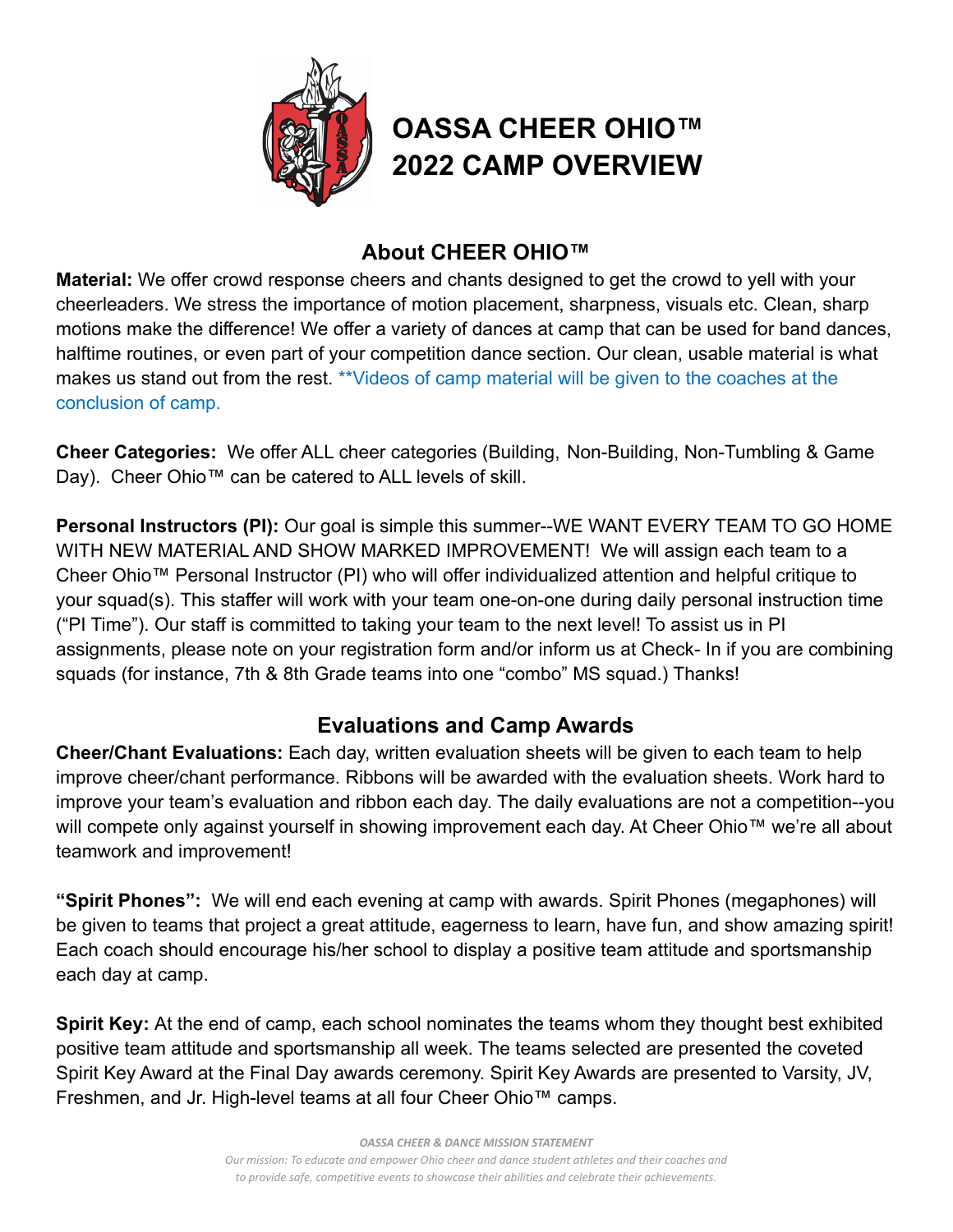

# **OASSA CHEER OHIO™ 2022 CAMP OVERVIEW**

### **About CHEER OHIO™**

**Material:** We offer crowd response cheers and chants designed to get the crowd to yell with your cheerleaders. We stress the importance of motion placement, sharpness, visuals etc. Clean, sharp motions make the difference! We offer a variety of dances at camp that can be used for band dances, halftime routines, or even part of your competition dance section. Our clean, usable material is what makes us stand out from the rest. \*\*Videos of camp material will be given to the coaches at the conclusion of camp.

**Cheer Categories:** We offer ALL cheer categories (Building, Non-Building, Non-Tumbling & Game Day). Cheer Ohio™ can be catered to ALL levels of skill.

**Personal Instructors (PI):** Our goal is simple this summer--WE WANT EVERY TEAM TO GO HOME WITH NEW MATERIAL AND SHOW MARKED IMPROVEMENT! We will assign each team to a Cheer Ohio™ Personal Instructor (PI) who will offer individualized attention and helpful critique to your squad(s). This staffer will work with your team one-on-one during daily personal instruction time ("PI Time"). Our staff is committed to taking your team to the next level! To assist us in PI assignments, please note on your registration form and/or inform us at Check- In if you are combining squads (for instance, 7th & 8th Grade teams into one "combo" MS squad.) Thanks!

## **Evaluations and Camp Awards**

**Cheer/Chant Evaluations:** Each day, written evaluation sheets will be given to each team to help improve cheer/chant performance. Ribbons will be awarded with the evaluation sheets. Work hard to improve your team's evaluation and ribbon each day. The daily evaluations are not a competition--you will compete only against yourself in showing improvement each day. At Cheer Ohio™ we're all about teamwork and improvement!

**"Spirit Phones":** We will end each evening at camp with awards. Spirit Phones (megaphones) will be given to teams that project a great attitude, eagerness to learn, have fun, and show amazing spirit! Each coach should encourage his/her school to display a positive team attitude and sportsmanship each day at camp.

**Spirit Key:** At the end of camp, each school nominates the teams whom they thought best exhibited positive team attitude and sportsmanship all week. The teams selected are presented the coveted Spirit Key Award at the Final Day awards ceremony. Spirit Key Awards are presented to Varsity, JV, Freshmen, and Jr. High-level teams at all four Cheer Ohio™ camps.

*OASSA CHEER & DANCE MISSION STATEMENT*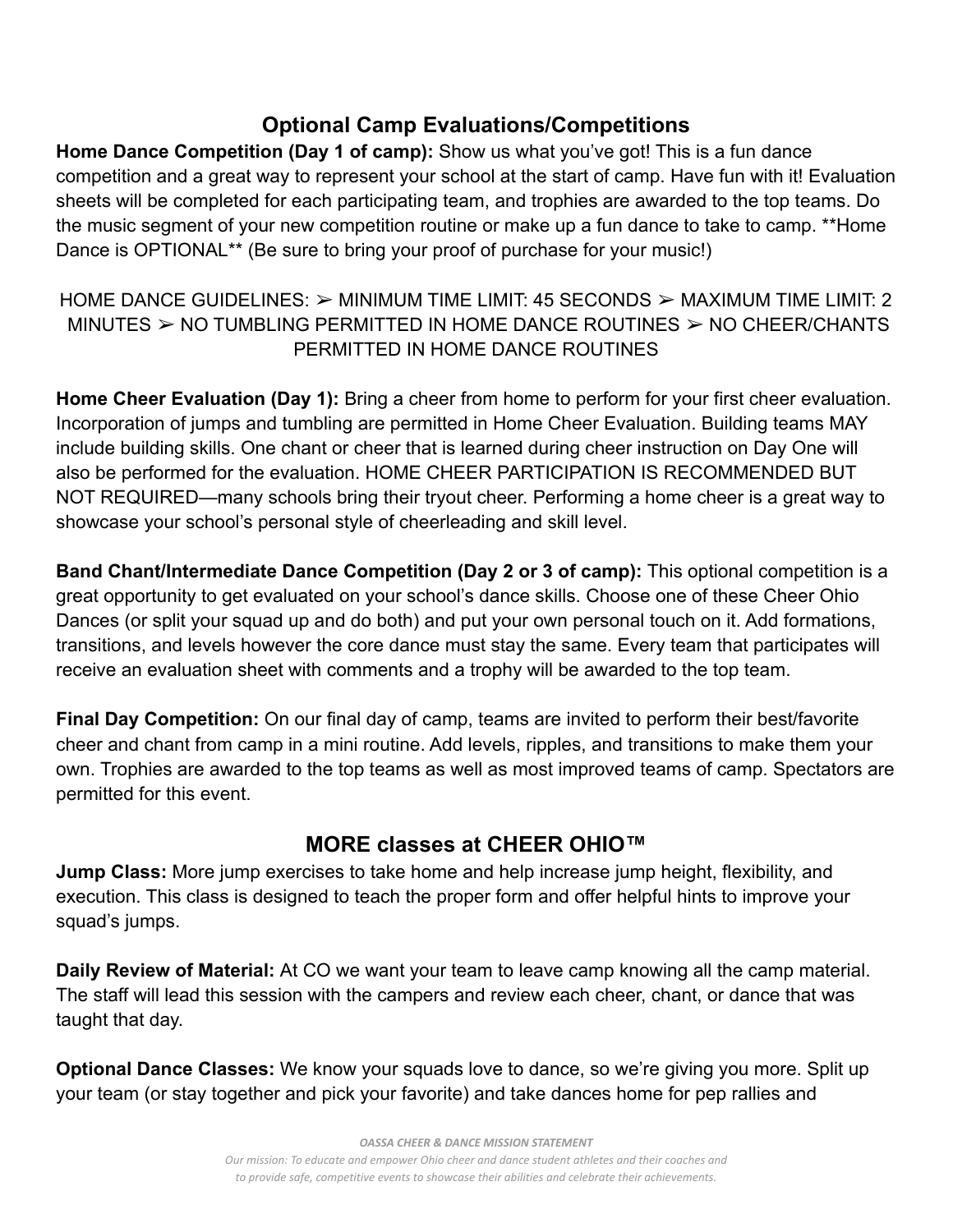## **Optional Camp Evaluations/Competitions**

**Home Dance Competition (Day 1 of camp):** Show us what you've got! This is a fun dance competition and a great way to represent your school at the start of camp. Have fun with it! Evaluation sheets will be completed for each participating team, and trophies are awarded to the top teams. Do the music segment of your new competition routine or make up a fun dance to take to camp. \*\*Home Dance is OPTIONAL<sup>\*\*</sup> (Be sure to bring your proof of purchase for your music!)

HOME DANCE GUIDELINES: ➢ MINIMUM TIME LIMIT: 45 SECONDS ➢ MAXIMUM TIME LIMIT: 2 MINUTES  $\geq$  NO TUMBLING PERMITTED IN HOME DANCE ROUTINES  $\geq$  NO CHEER/CHANTS PERMITTED IN HOME DANCE ROUTINES

**Home Cheer Evaluation (Day 1):** Bring a cheer from home to perform for your first cheer evaluation. Incorporation of jumps and tumbling are permitted in Home Cheer Evaluation. Building teams MAY include building skills. One chant or cheer that is learned during cheer instruction on Day One will also be performed for the evaluation. HOME CHEER PARTICIPATION IS RECOMMENDED BUT NOT REQUIRED—many schools bring their tryout cheer. Performing a home cheer is a great way to showcase your school's personal style of cheerleading and skill level.

**Band Chant/Intermediate Dance Competition (Day 2 or 3 of camp):** This optional competition is a great opportunity to get evaluated on your school's dance skills. Choose one of these Cheer Ohio Dances (or split your squad up and do both) and put your own personal touch on it. Add formations, transitions, and levels however the core dance must stay the same. Every team that participates will receive an evaluation sheet with comments and a trophy will be awarded to the top team.

**Final Day Competition:** On our final day of camp, teams are invited to perform their best/favorite cheer and chant from camp in a mini routine. Add levels, ripples, and transitions to make them your own. Trophies are awarded to the top teams as well as most improved teams of camp. Spectators are permitted for this event.

### **MORE classes at CHEER OHIO™**

**Jump Class:** More jump exercises to take home and help increase jump height, flexibility, and execution. This class is designed to teach the proper form and offer helpful hints to improve your squad's jumps.

**Daily Review of Material:** At CO we want your team to leave camp knowing all the camp material. The staff will lead this session with the campers and review each cheer, chant, or dance that was taught that day.

**Optional Dance Classes:** We know your squads love to dance, so we're giving you more. Split up your team (or stay together and pick your favorite) and take dances home for pep rallies and

*OASSA CHEER & DANCE MISSION STATEMENT*